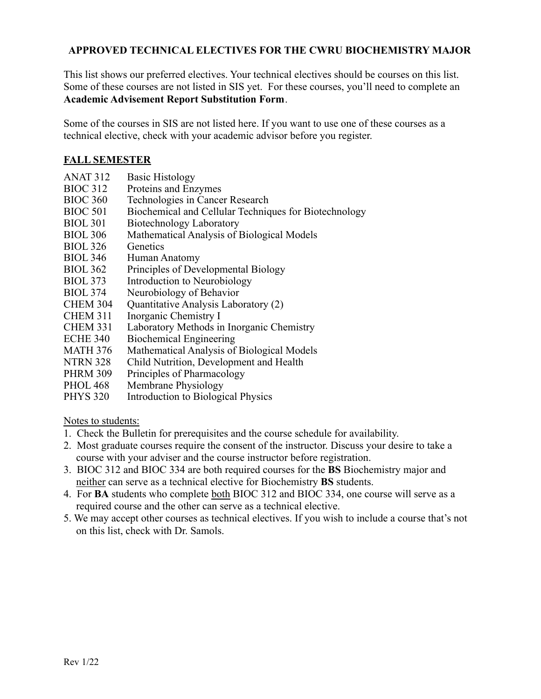## **APPROVED TECHNICAL ELECTIVES FOR THE CWRU BIOCHEMISTRY MAJOR**

This list shows our preferred electives. Your technical electives should be courses on this list. Some of these courses are not listed in SIS yet. For these courses, you'll need to complete an **[Academic Advisement Report Substitution Form](https://case.edu/ugstudies/sites/case.edu.ugstudies/files/2022-03/Academic%20Advisement%20Report%20Substitution%2011.17.21_0.pdf)**.

Some of the courses in SIS are not listed here. If you want to use one of these courses as a technical elective, check with your academic advisor before you register.

### **FALL SEMESTER**

- ANAT 312 Basic Histology
- BIOC 312 Proteins and Enzymes<br>BIOC 360 Technologies in Cance
- Technologies in Cancer Research
- BIOC 501 Biochemical and Cellular Techniques for Biotechnology
- BIOL 301 Biotechnology Laboratory
- BIOL 306 Mathematical Analysis of Biological Models
- BIOL 326 Genetics
- BIOL 346 Human Anatomy
- BIOL 362 Principles of Developmental Biology
- BIOL 373 Introduction to Neurobiology
- BIOL 374 Neurobiology of Behavior
- CHEM 304 Quantitative Analysis Laboratory (2)
- CHEM 311 Inorganic Chemistry I
- CHEM 331 Laboratory Methods in Inorganic Chemistry
- ECHE 340 Biochemical Engineering
- MATH 376 Mathematical Analysis of Biological Models
- NTRN 328 Child Nutrition, Development and Health
- PHRM 309 Principles of Pharmacology
- PHOL 468 Membrane Physiology
- PHYS 320 Introduction to Biological Physics

Notes to students:

- 1. Check the Bulletin for prerequisites and the course schedule for availability.
- 2. Most graduate courses require the consent of the instructor. Discuss your desire to take a course with your adviser and the course instructor before registration.
- 3. BIOC 312 and BIOC 334 are both required courses for the **BS** Biochemistry major and neither can serve as a technical elective for Biochemistry **BS** students.
- 4. For **BA** students who complete both BIOC 312 and BIOC 334, one course will serve as a required course and the other can serve as a technical elective.
- 5. We may accept other courses as technical electives. If you wish to include a course that's not on this list, check with Dr. Samols.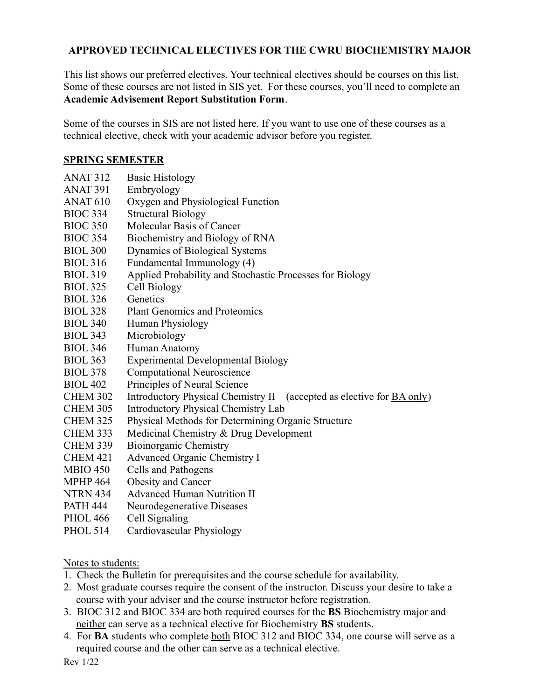# **APPROVED TECHNICAL ELECTIVES FOR THE CWRU BIOCHEMISTRY MAJOR**

This list shows our preferred electives. Your technical electives should be courses on this list. Some of these courses are not listed in SIS yet. For these courses, you'll need to complete an **[Academic Advisement Report Substitution Form](https://case.edu/ugstudies/sites/case.edu.ugstudies/files/2022-03/Academic%20Advisement%20Report%20Substitution%2011.17.21_0.pdf)**.

Some of the courses in SIS are not listed here. If you want to use one of these courses as a technical elective, check with your academic advisor before you register.

#### **SPRING SEMESTER**

- ANAT 312 Basic Histology
- ANAT 391 Embryology
- ANAT 610 Oxygen and Physiological Function
- BIOC 334 Structural Biology
- BIOC 350 Molecular Basis of Cancer
- BIOC 354 Biochemistry and Biology of RNA
- BIOL 300 Dynamics of Biological Systems
- BIOL 316 Fundamental Immunology (4)
- BIOL 319 Applied Probability and Stochastic Processes for Biology
- BIOL 325 Cell Biology
- BIOL 326 Genetics
- BIOL 328 Plant Genomics and Proteomics
- BIOL 340 Human Physiology
- BIOL 343 Microbiology
- BIOL 346 Human Anatomy
- BIOL 363 Experimental Developmental Biology
- BIOL 378 Computational Neuroscience
- BIOL 402 Principles of Neural Science
- CHEM 302 Introductory Physical Chemistry II (accepted as elective for BA only)
- CHEM 305 Introductory Physical Chemistry Lab
- CHEM 325 Physical Methods for Determining Organic Structure
- CHEM 333 Medicinal Chemistry & Drug Development
- CHEM 339 Bioinorganic Chemistry
- CHEM 421 Advanced Organic Chemistry I
- MBIO 450 Cells and Pathogens
- MPHP 464 Obesity and Cancer
- NTRN 434 Advanced Human Nutrition II
- PATH 444 Neurodegenerative Diseases
- PHOL 466 Cell Signaling
- PHOL 514 Cardiovascular Physiology

Notes to students:

- 1. Check the Bulletin for prerequisites and the course schedule for availability.
- 2. Most graduate courses require the consent of the instructor. Discuss your desire to take a course with your adviser and the course instructor before registration.
- 3. BIOC 312 and BIOC 334 are both required courses for the **BS** Biochemistry major and neither can serve as a technical elective for Biochemistry **BS** students.
- 4. For **BA** students who complete both BIOC 312 and BIOC 334, one course will serve as a required course and the other can serve as a technical elective.